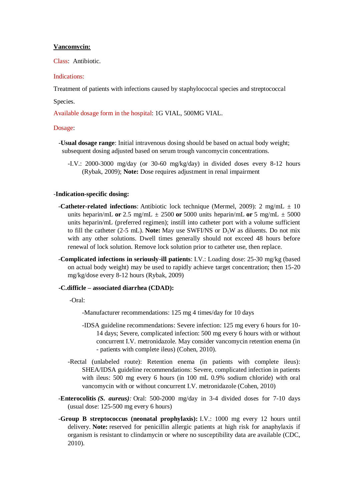## **Vancomycin:**

Class: Antibiotic.

# Indications:

Treatment of patients with infections caused by staphylococcal species and streptococcal

## Species.

Available dosage form in the hospital: 1G VIAL, 500MG VIAL.

#### Dosage:

- -**Usual dosage range**: Initial intravenous dosing should be based on actual body weight; subsequent dosing adjusted based on serum trough vancomycin concentrations.
	- -I.V.: 2000-3000 mg/day (or 30-60 mg/kg/day) in divided doses every 8-12 hours (Rybak, 2009); **Note:** Dose requires adjustment in renal impairment

# -**Indication-specific dosing:**

- -**Catheter-related infections**: Antibiotic lock technique (Mermel, 2009): 2 mg/mL ± 10 units heparin/mL **or** 2.5 mg/mL  $\pm$  2500 **or** 5000 units heparin/mL **or** 5 mg/mL  $\pm$  5000 units heparin/mL (preferred regimen); instill into catheter port with a volume sufficient to fill the catheter (2-5 mL). **Note:** May use SWFI/NS or D<sub>5</sub>W as diluents. Do not mix with any other solutions. Dwell times generally should not exceed 48 hours before renewal of lock solution. Remove lock solution prior to catheter use, then replace.
- -**Complicated infections in seriously-ill patients**: I.V.: Loading dose: 25-30 mg/kg (based on actual body weight) may be used to rapidly achieve target concentration; then 15-20 mg/kg/dose every 8-12 hours (Rybak, 2009)

# **-C.difficle – associated diarrhea (CDAD):**

-Oral:

- -Manufacturer recommendations: 125 mg 4 times/day for 10 days
- -IDSA guideline recommendations: Severe infection: 125 mg every 6 hours for 10- 14 days; Severe, complicated infection: 500 mg every 6 hours with or without concurrent I.V. metronidazole. May consider vancomycin retention enema (in - patients with complete ileus) (Cohen, 2010).
- -Rectal (unlabeled route): Retention enema (in patients with complete ileus): SHEA/IDSA guideline recommendations: Severe, complicated infection in patients with ileus: 500 mg every 6 hours (in 100 mL 0.9% sodium chloride) with oral vancomycin with or without concurrent I.V. metronidazole (Cohen, 2010)
- -**Enterocolitis** *(S. aureus):* Oral: 500-2000 mg/day in 3-4 divided doses for 7-10 days (usual dose: 125-500 mg every 6 hours)
- -**Group B streptococcus (neonatal prophylaxis):** I.V.: 1000 mg every 12 hours until delivery. **Note:** reserved for penicillin allergic patients at high risk for anaphylaxis if organism is resistant to clindamycin or where no susceptibility data are available (CDC, 2010).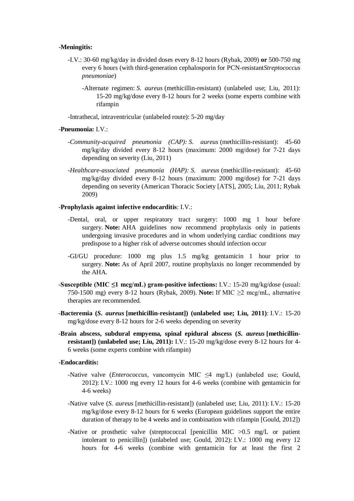#### -**Meningitis:**

- -I.V.: 30-60 mg/kg/day in divided doses every 8-12 hours (Rybak, 2009) **or** 500-750 mg every 6 hours (with third-generation cephalosporin for PCN-resistant*Streptococcus pneumoniae*)
	- -Alternate regimen: *S. aureus* (methicillin-resistant) (unlabeled use; Liu, 2011): 15-20 mg/kg/dose every 8-12 hours for 2 weeks (some experts combine with rifampin

-Intrathecal, intraventricular (unlabeled route): 5-20 mg/day

#### -**Pneumonia:** I.V.:

- *-Community-acquired pneumonia (CAP): S. aureus* (methicillin-resistant): 45-60 mg/kg/day divided every 8-12 hours (maximum: 2000 mg/dose) for 7-21 days depending on severity (Liu, 2011)
- *-Healthcare-associated pneumonia (HAP): S. aureus* (methicillin-resistant): 45-60 mg/kg/day divided every 8-12 hours (maximum: 2000 mg/dose) for 7-21 days depending on severity (American Thoracic Society [ATS], 2005; Liu, 2011; Rybak 2009)

#### -**Prophylaxis against infective endocarditis**: I.V.:

- -Dental, oral, or upper respiratory tract surgery: 1000 mg 1 hour before surgery. **Note:** AHA guidelines now recommend prophylaxis only in patients undergoing invasive procedures and in whom underlying cardiac conditions may predispose to a higher risk of adverse outcomes should infection occur
- -GI/GU procedure: 1000 mg plus 1.5 mg/kg gentamicin 1 hour prior to surgery. **Note:** As of April 2007, routine prophylaxis no longer recommended by the AHA.
- -**Susceptible (MIC ≤1 mcg/mL) gram-positive infections:** I.V.: 15-20 mg/kg/dose (usual: 750-1500 mg) every 8-12 hours (Rybak, 2009). **Note:** If MIC ≥2 mcg/mL, alternative therapies are recommended.
- -**Bacteremia (***S. aureus* **[methicillin-resistant]) (unlabeled use; Liu, 2011)**: I.V.: 15-20 mg/kg/dose every 8-12 hours for 2-6 weeks depending on severity
- -**Brain abscess, subdural empyema, spinal epidural abscess (***S. aureus* **[methicillinresistant]) (unlabeled use; Liu, 2011):** I.V.: 15-20 mg/kg/dose every 8-12 hours for 4- 6 weeks (some experts combine with rifampin)

#### **-Endocarditis:**

- -Native valve (*Enterococcus*, vancomycin MIC ≤4 mg/L) (unlabeled use; Gould, 2012): I.V.: 1000 mg every 12 hours for 4-6 weeks (combine with gentamicin for 4-6 weeks)
- -Native valve (*S. aureus* [methicillin-resistant]) (unlabeled use; Liu, 2011): I.V.: 15-20 mg/kg/dose every 8-12 hours for 6 weeks (European guidelines support the entire duration of therapy to be 4 weeks and in combination with rifampin [Gould, 2012])
- -Native or prosthetic valve (streptococcal [penicillin MIC >0.5 mg/L or patient intolerant to penicillin]) (unlabeled use; Gould, 2012): I.V.: 1000 mg every 12 hours for 4-6 weeks (combine with gentamicin for at least the first 2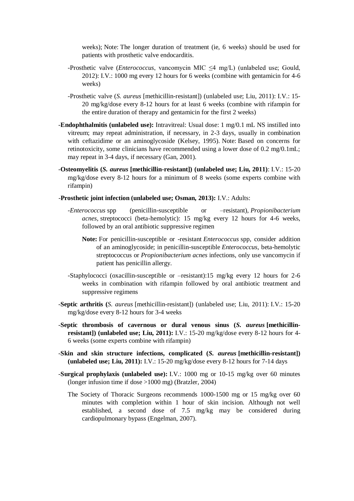weeks); Note: The longer duration of treatment (ie, 6 weeks) should be used for patients with prosthetic valve endocarditis.

- -Prosthetic valve (*Enterococcus*, vancomycin MIC ≤4 mg/L) (unlabeled use; Gould, 2012): I.V.: 1000 mg every 12 hours for 6 weeks (combine with gentamicin for 4-6 weeks)
- -Prosthetic valve (*S. aureus* [methicillin-resistant]) (unlabeled use; Liu, 2011): I.V.: 15- 20 mg/kg/dose every 8-12 hours for at least 6 weeks (combine with rifampin for the entire duration of therapy and gentamicin for the first 2 weeks)
- -**Endophthalmitis (unlabeled use):** Intravitreal: Usual dose: 1 mg/0.1 mL NS instilled into vitreum; may repeat administration, if necessary, in 2-3 days, usually in combination with ceftazidime or an aminoglycoside (Kelsey, 1995). Note: Based on concerns for retinotoxicity, some clinicians have recommended using a lower dose of 0.2 mg/0.1mL; may repeat in 3-4 days, if necessary (Gan, 2001).
- -**Osteomyelitis (***S. aureus* **[methicillin-resistant]) (unlabeled use; Liu, 2011)**: I.V.: 15-20 mg/kg/dose every 8-12 hours for a minimum of 8 weeks (some experts combine with rifampin)
- -**Prosthetic joint infection (unlabeled use; Osman, 2013):** I.V.: Adults:
	- *-Enterococcus* spp (penicillin-susceptible or –resistant), *Propionibacterium acnes,* streptococci (beta-hemolytic): 15 mg/kg every 12 hours for 4-6 weeks, followed by an oral antibiotic suppressive regimen
		- **Note:** For penicillin-susceptible or -resistant *Enterococcus* spp, consider addition of an aminoglycoside; in penicillin-susceptible *Enterococcus*, beta-hemolytic streptococcus or *Propionibacterium acnes* infections, only use vancomycin if patient has penicillin allergy.
	- -Staphylococci (oxacillin-susceptible or –resistant):15 mg/kg every 12 hours for 2-6 weeks in combination with rifampin followed by oral antibiotic treatment and suppressive regimens
- -**Septic arthritis (***S. aureus* [methicillin-resistant]) (unlabeled use; Liu, 2011): I.V.: 15-20 mg/kg/dose every 8-12 hours for 3-4 weeks
- -**Septic thrombosis of cavernous or dural venous sinus (***S. aureus* **[methicillinresistant]) (unlabeled use; Liu, 2011):** I.V.: 15-20 mg/kg/dose every 8-12 hours for 4-6 weeks (some experts combine with rifampin)
- -**Skin and skin structure infections, complicated (***S. aureus* **[methicillin-resistant]) (unlabeled use; Liu, 2011):** I.V.: 15-20 mg/kg/dose every 8-12 hours for 7-14 days
- -**Surgical prophylaxis (unlabeled use):** I.V.: 1000 mg or 10-15 mg/kg over 60 minutes (longer infusion time if dose >1000 mg) (Bratzler, 2004)
	- The Society of Thoracic Surgeons recommends 1000-1500 mg or 15 mg/kg over 60 minutes with completion within 1 hour of skin incision. Although not well established, a second dose of 7.5 mg/kg may be considered during cardiopulmonary bypass (Engelman, 2007).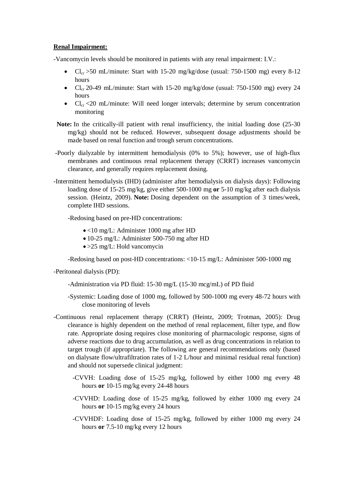## **Renal Impairment:**

-Vancomycin levels should be monitored in patients with any renal impairment: I.V.:

- $Cl_{cr}$  >50 mL/minute: Start with 15-20 mg/kg/dose (usual: 750-1500 mg) every 8-12 hours
- $Cl_{cr}$  20-49 mL/minute: Start with 15-20 mg/kg/dose (usual: 750-1500 mg) every 24 hours
- $Cl_{cr} < 20$  mL/minute: Will need longer intervals; determine by serum concentration monitoring
- Note: In the critically-ill patient with renal insufficiency, the initial loading dose (25-30) mg/kg) should not be reduced. However, subsequent dosage adjustments should be made based on renal function and trough serum concentrations.
- -Poorly dialyzable by intermittent hemodialysis (0% to 5%); however, use of high-flux membranes and continuous renal replacement therapy (CRRT) increases vancomycin clearance, and generally requires replacement dosing.
- -Intermittent hemodialysis (IHD) (administer after hemodialysis on dialysis days): Following loading dose of 15-25 mg/kg, give either 500-1000 mg **or** 5-10 mg/kg after each dialysis session. (Heintz, 2009). **Note:** Dosing dependent on the assumption of 3 times/week, complete IHD sessions.

-Redosing based on pre-HD concentrations:

- <10 mg/L: Administer 1000 mg after HD
- 10-25 mg/L: Administer 500-750 mg after HD
- >25 mg/L: Hold vancomycin

-Redosing based on post-HD concentrations: <10-15 mg/L: Administer 500-1000 mg

-Peritoneal dialysis (PD):

- -Administration via PD fluid: 15-30 mg/L (15-30 mcg/mL) of PD fluid
- -Systemic: Loading dose of 1000 mg, followed by 500-1000 mg every 48-72 hours with close monitoring of levels
- -Continuous renal replacement therapy (CRRT) (Heintz, 2009; Trotman, 2005): Drug clearance is highly dependent on the method of renal replacement, filter type, and flow rate. Appropriate dosing requires close monitoring of pharmacologic response, signs of adverse reactions due to drug accumulation, as well as drug concentrations in relation to target trough (if appropriate). The following are general recommendations only (based on dialysate flow/ultrafiltration rates of 1-2 L/hour and minimal residual renal function) and should not supersede clinical judgment:
	- -CVVH: Loading dose of 15-25 mg/kg, followed by either 1000 mg every 48 hours **or** 10-15 mg/kg every 24-48 hours
	- -CVVHD: Loading dose of 15-25 mg/kg, followed by either 1000 mg every 24 hours **or** 10-15 mg/kg every 24 hours
	- -CVVHDF: Loading dose of 15-25 mg/kg, followed by either 1000 mg every 24 hours **or** 7.5-10 mg/kg every 12 hours